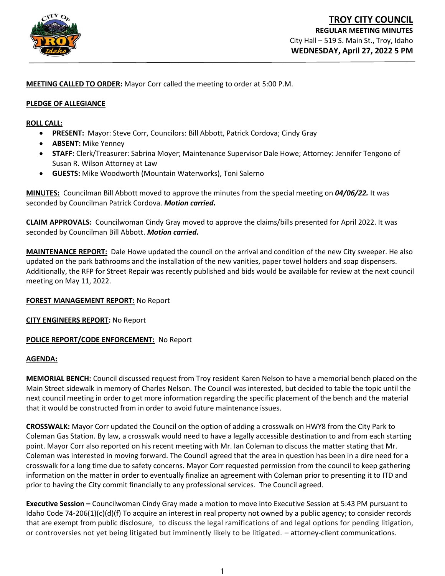

**MEETING CALLED TO ORDER:** Mayor Corr called the meeting to order at 5:00 P.M.

#### **PLEDGE OF ALLEGIANCE**

#### **ROLL CALL:**

- **PRESENT:** Mayor: Steve Corr, Councilors: Bill Abbott, Patrick Cordova; Cindy Gray
- **ABSENT:** Mike Yenney
- **STAFF:** Clerk/Treasurer: Sabrina Moyer; Maintenance Supervisor Dale Howe; Attorney: Jennifer Tengono of Susan R. Wilson Attorney at Law
- **GUESTS:** Mike Woodworth (Mountain Waterworks), Toni Salerno

**MINUTES:** Councilman Bill Abbott moved to approve the minutes from the special meeting on *04/06/22.* It was seconded by Councilman Patrick Cordova. *Motion carried***.**

**CLAIM APPROVALS:** Councilwoman Cindy Gray moved to approve the claims/bills presented for April 2022. It was seconded by Councilman Bill Abbott. *Motion carried***.**

**MAINTENANCE REPORT:** Dale Howe updated the council on the arrival and condition of the new City sweeper. He also updated on the park bathrooms and the installation of the new vanities, paper towel holders and soap dispensers. Additionally, the RFP for Street Repair was recently published and bids would be available for review at the next council meeting on May 11, 2022.

### **FOREST MANAGEMENT REPORT:** No Report

**CITY ENGINEERS REPORT:** No Report

### **POLICE REPORT/CODE ENFORCEMENT:** No Report

#### **AGENDA:**

**MEMORIAL BENCH:** Council discussed request from Troy resident Karen Nelson to have a memorial bench placed on the Main Street sidewalk in memory of Charles Nelson. The Council was interested, but decided to table the topic until the next council meeting in order to get more information regarding the specific placement of the bench and the material that it would be constructed from in order to avoid future maintenance issues.

**CROSSWALK:** Mayor Corr updated the Council on the option of adding a crosswalk on HWY8 from the City Park to Coleman Gas Station. By law, a crosswalk would need to have a legally accessible destination to and from each starting point. Mayor Corr also reported on his recent meeting with Mr. Ian Coleman to discuss the matter stating that Mr. Coleman was interested in moving forward. The Council agreed that the area in question has been in a dire need for a crosswalk for a long time due to safety concerns. Mayor Corr requested permission from the council to keep gathering information on the matter in order to eventually finalize an agreement with Coleman prior to presenting it to ITD and prior to having the City commit financially to any professional services. The Council agreed.

**Executive Session –** Councilwoman Cindy Gray made a motion to move into Executive Session at 5:43 PM pursuant to Idaho Code 74-206(1)(c)(d)(f) To acquire an interest in real property not owned by a public agency; to consider records that are exempt from public disclosure, to discuss the legal ramifications of and legal options for pending litigation, or controversies not yet being litigated but imminently likely to be litigated. – attorney-client communications.